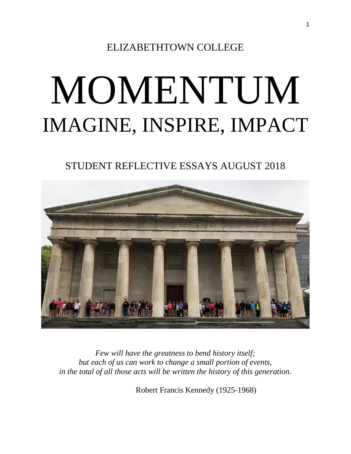### ELIZABETHTOWN COLLEGE

# MOMENTUM IMAGINE, INSPIRE, IMPACT

## STUDENT REFLECTIVE ESSAYS AUGUST 2018



*Few will have the greatness to bend history itself; but each of us can work to change a small portion of events, in the total of all those acts will be written the history of this generation.*

Robert Francis Kennedy (1925-1968)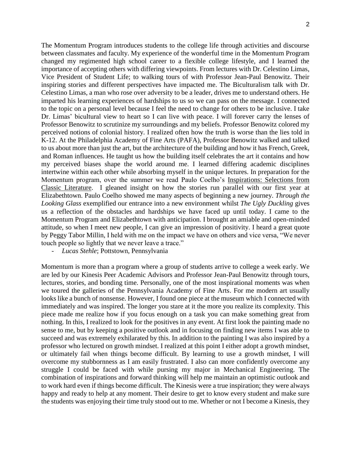The Momentum Program introduces students to the college life through activities and discourse between classmates and faculty. My experience of the wonderful time in the Momentum Program changed my regimented high school career to a flexible college lifestyle, and I learned the importance of accepting others with differing viewpoints. From lectures with Dr. Celestino Limas, Vice President of Student Life; to walking tours of with Professor Jean-Paul Benowitz. Their inspiring stories and different perspectives have impacted me. The Biculturalism talk with Dr. Celestino Limas, a man who rose over adversity to be a leader, drives me to understand others. He imparted his learning experiences of hardships to us so we can pass on the message. I connected to the topic on a personal level because I feel the need to change for others to be inclusive. I take Dr. Limas' bicultural view to heart so I can live with peace. I will forever carry the lenses of Professor Benowitz to scrutinize my surroundings and my beliefs. Professor Benowitz colored my perceived notions of colonial history. I realized often how the truth is worse than the lies told in K-12. At the Philadelphia Academy of Fine Arts (PAFA), Professor Benowitz walked and talked to us about more than just the art, but the architecture of the building and how it has French, Greek, and Roman influences. He taught us how the building itself celebrates the art it contains and how my perceived biases shape the world around me. I learned differing academic disciplines intertwine within each other while absorbing myself in the unique lectures. In preparation for the Momentum program, over the summer we read Paulo Coelho's Inspirations: Selections from Classic Literature. I gleaned insight on how the stories run parallel with our first year at Elizabethtown. Paulo Coelho showed me many aspects of beginning a new journey. *Through the Looking Glass* exemplified our entrance into a new environment whilst *The Ugly Duckling* gives us a reflection of the obstacles and hardships we have faced up until today. I came to the Momentum Program and Elizabethtown with anticipation. I brought an amiable and open-minded attitude, so when I meet new people, I can give an impression of positivity. I heard a great quote by Peggy Tabor Millin, I held with me on the impact we have on others and vice versa, "We never touch people so lightly that we never leave a trace."

Momentum is more than a program where a group of students arrive to college a week early. We are led by our Kinesis Peer Academic Advisors and Professor Jean-Paul Benowitz through tours, lectures, stories, and bonding time. Personally, one of the most inspirational moments was when we toured the galleries of the Pennsylvania Academy of Fine Arts. For me modern art usually looks like a bunch of nonsense. However, I found one piece at the museum which I connected with immediately and was inspired. The longer you stare at it the more you realize its complexity. This piece made me realize how if you focus enough on a task you can make something great from nothing. In this, I realized to look for the positives in any event. At first look the painting made no sense to me, but by keeping a positive outlook and in focusing on finding new items I was able to succeed and was extremely exhilarated by this. In addition to the painting I was also inspired by a professor who lectured on growth mindset. I realized at this point I either adopt a growth mindset, or ultimately fail when things become difficult. By learning to use a growth mindset, I will overcome my stubbornness as I am easily frustrated. I also can more confidently overcome any struggle I could be faced with while pursing my major in Mechanical Engineering. The combination of inspirations and forward thinking will help me maintain an optimistic outlook and to work hard even if things become difficult. The Kinesis were a true inspiration; they were always happy and ready to help at any moment. Their desire to get to know every student and make sure the students was enjoying their time truly stood out to me. Whether or not I become a Kinesis, they

<sup>-</sup> *Lucas Stehle*; Pottstown, Pennsylvania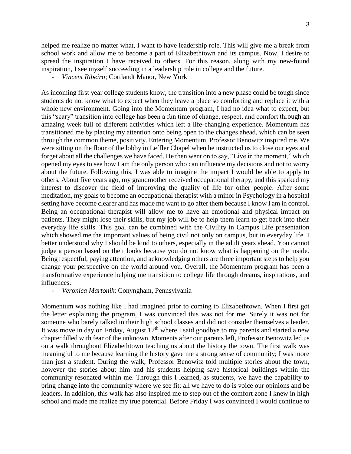helped me realize no matter what, I want to have leadership role. This will give me a break from school work and allow me to become a part of Elizabethtown and its campus. Now, I desire to spread the inspiration I have received to others. For this reason, along with my new-found inspiration, I see myself succeeding in a leadership role in college and the future.

- *Vincent Ribeiro*; Cortlandt Manor, New York

As incoming first year college students know, the transition into a new phase could be tough since students do not know what to expect when they leave a place so comforting and replace it with a whole new environment. Going into the Momentum program, I had no idea what to expect, but this "scary" transition into college has been a fun time of change, respect, and comfort through an amazing week full of different activities which left a life-changing experience. Momentum has transitioned me by placing my attention onto being open to the changes ahead, which can be seen through the common theme, positivity. Entering Momentum, Professor Benowitz inspired me. We were sitting on the floor of the lobby in Leffler Chapel when he instructed us to close our eyes and forget about all the challenges we have faced. He then went on to say, "Live in the moment," which opened my eyes to see how I am the only person who can influence my decisions and not to worry about the future. Following this, I was able to imagine the impact I would be able to apply to others. About five years ago, my grandmother received occupational therapy, and this sparked my interest to discover the field of improving the quality of life for other people. After some meditation, my goals to become an occupational therapist with a minor in Psychology in a hospital setting have become clearer and has made me want to go after them because I know I am in control. Being an occupational therapist will allow me to have an emotional and physical impact on patients. They might lose their skills, but my job will be to help them learn to get back into their everyday life skills. This goal can be combined with the Civility in Campus Life presentation which showed me the important values of being civil not only on campus, but in everyday life. I better understood why I should be kind to others, especially in the adult years ahead. You cannot judge a person based on their looks because you do not know what is happening on the inside. Being respectful, paying attention, and acknowledging others are three important steps to help you change your perspective on the world around you. Overall, the Momentum program has been a transformative experience helping me transition to college life through dreams, inspirations, and influences.

#### - *Veronica Martonik*; Conyngham, Pennsylvania

Momentum was nothing like I had imagined prior to coming to Elizabethtown. When I first got the letter explaining the program, I was convinced this was not for me. Surely it was not for someone who barely talked in their high school classes and did not consider themselves a leader. It was move in day on Friday, August  $17<sup>th</sup>$  where I said goodbye to my parents and started a new chapter filled with fear of the unknown. Moments after our parents left, Professor Benowitz led us on a walk throughout Elizabethtown teaching us about the history the town. The first walk was meaningful to me because learning the history gave me a strong sense of community; I was more than just a student. During the walk, Professor Benowitz told multiple stories about the town, however the stories about him and his students helping save historical buildings within the community resonated within me. Through this I learned, as students, we have the capability to bring change into the community where we see fit; all we have to do is voice our opinions and be leaders. In addition, this walk has also inspired me to step out of the comfort zone I knew in high school and made me realize my true potential. Before Friday I was convinced I would continue to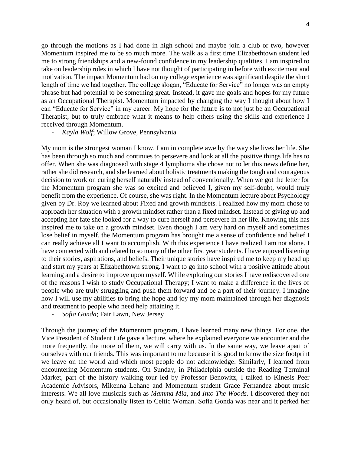go through the motions as I had done in high school and maybe join a club or two, however Momentum inspired me to be so much more. The walk as a first time Elizabethtown student led me to strong friendships and a new-found confidence in my leadership qualities. I am inspired to take on leadership roles in which I have not thought of participating in before with excitement and motivation. The impact Momentum had on my college experience was significant despite the short length of time we had together. The college slogan, "Educate for Service" no longer was an empty phrase but had potential to be something great. Instead, it gave me goals and hopes for my future as an Occupational Therapist. Momentum impacted by changing the way I thought about how I can "Educate for Service" in my career. My hope for the future is to not just be an Occupational Therapist, but to truly embrace what it means to help others using the skills and experience I received through Momentum.

- *Kayla Wolf*; Willow Grove, Pennsylvania

My mom is the strongest woman I know. I am in complete awe by the way she lives her life. She has been through so much and continues to persevere and look at all the positive things life has to offer. When she was diagnosed with stage 4 lymphoma she chose not to let this news define her, rather she did research, and she learned about holistic treatments making the tough and courageous decision to work on curing herself naturally instead of conventionally. When we got the letter for the Momentum program she was so excited and believed I, given my self-doubt, would truly benefit from the experience. Of course, she was right. In the Momentum lecture about Psychology given by Dr. Roy we learned about Fixed and growth mindsets. I realized how my mom chose to approach her situation with a growth mindset rather than a fixed mindset. Instead of giving up and accepting her fate she looked for a way to cure herself and persevere in her life. Knowing this has inspired me to take on a growth mindset. Even though I am very hard on myself and sometimes lose belief in myself, the Momentum program has brought me a sense of confidence and belief I can really achieve all I want to accomplish. With this experience I have realized I am not alone. I have connected with and related to so many of the other first year students. I have enjoyed listening to their stories, aspirations, and beliefs. Their unique stories have inspired me to keep my head up and start my years at Elizabethtown strong. I want to go into school with a positive attitude about learning and a desire to improve upon myself. While exploring our stories I have rediscovered one of the reasons I wish to study Occupational Therapy; I want to make a difference in the lives of people who are truly struggling and push them forward and be a part of their journey. I imagine how I will use my abilities to bring the hope and joy my mom maintained through her diagnosis and treatment to people who need help attaining it.

- *Sofia Gonda*; Fair Lawn, New Jersey

Through the journey of the Momentum program, I have learned many new things. For one, the Vice President of Student Life gave a lecture, where he explained everyone we encounter and the more frequently, the more of them, we will carry with us. In the same way, we leave apart of ourselves with our friends. This was important to me because it is good to know the size footprint we leave on the world and which most people do not acknowledge. Similarly, I learned from encountering Momentum students. On Sunday, in Philadelphia outside the Reading Terminal Market, part of the history walking tour led by Professor Benowitz, I talked to Kinesis Peer Academic Advisors, Mikenna Lehane and Momentum student Grace Fernandez about music interests. We all love musicals such as *Mamma Mia*, and *Into The Woods.* I discovered they not only heard of, but occasionally listen to Celtic Woman. Sofia Gonda was near and it perked her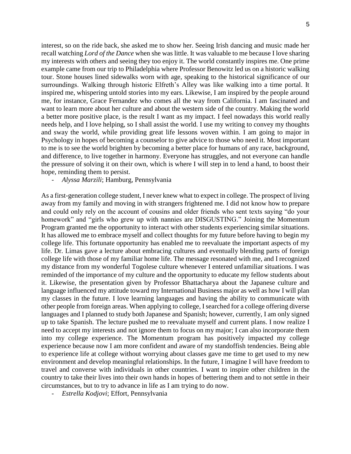interest, so on the ride back, she asked me to show her. Seeing Irish dancing and music made her recall watching *Lord of the Dance* when she was little. It was valuable to me because I love sharing my interests with others and seeing they too enjoy it. The world constantly inspires me. One prime example came from our trip to Philadelphia where Professor Benowitz led us on a historic walking tour. Stone houses lined sidewalks worn with age, speaking to the historical significance of our surroundings. Walking through historic Elfreth's Alley was like walking into a time portal. It inspired me, whispering untold stories into my ears. Likewise, I am inspired by the people around me, for instance, Grace Fernandez who comes all the way from California. I am fascinated and want to learn more about her culture and about the western side of the country. Making the world a better more positive place, is the result I want as my impact. I feel nowadays this world really needs help, and I love helping, so I shall assist the world. I use my writing to convey my thoughts and sway the world, while providing great life lessons woven within. I am going to major in Psychology in hopes of becoming a counselor to give advice to those who need it. Most important to me is to see the world brighten by becoming a better place for humans of any race, background, and difference, to live together in harmony. Everyone has struggles, and not everyone can handle the pressure of solving it on their own, which is where I will step in to lend a hand, to boost their hope, reminding them to persist.

- *Alyssa Marzili*; Hamburg, Pennsylvania

As a first-generation college student, I never knew what to expect in college. The prospect of living away from my family and moving in with strangers frightened me. I did not know how to prepare and could only rely on the account of cousins and older friends who sent texts saying "do your homework" and "girls who grew up with nannies are DISGUSTING." Joining the Momentum Program granted me the opportunity to interact with other students experiencing similar situations. It has allowed me to embrace myself and collect thoughts for my future before having to begin my college life. This fortunate opportunity has enabled me to reevaluate the important aspects of my life. Dr. Limas gave a lecture about embracing cultures and eventually blending parts of foreign college life with those of my familiar home life. The message resonated with me, and I recognized my distance from my wonderful Togolese culture whenever I entered unfamiliar situations. I was reminded of the importance of my culture and the opportunity to educate my fellow students about it. Likewise, the presentation given by Professor Bhattacharya about the Japanese culture and language influenced my attitude toward my International Business major as well as how I will plan my classes in the future. I love learning languages and having the ability to communicate with other people from foreign areas. When applying to college, I searched for a college offering diverse languages and I planned to study both Japanese and Spanish; however, currently, I am only signed up to take Spanish. The lecture pushed me to reevaluate myself and current plans. I now realize I need to accept my interests and not ignore them to focus on my major; I can also incorporate them into my college experience. The Momentum program has positively impacted my college experience because now I am more confident and aware of my standoffish tendencies. Being able to experience life at college without worrying about classes gave me time to get used to my new environment and develop meaningful relationships. In the future, I imagine I will have freedom to travel and converse with individuals in other countries. I want to inspire other children in the country to take their lives into their own hands in hopes of bettering them and to not settle in their circumstances, but to try to advance in life as I am trying to do now.

- *Estrella Kodjovi*; Effort, Pennsylvania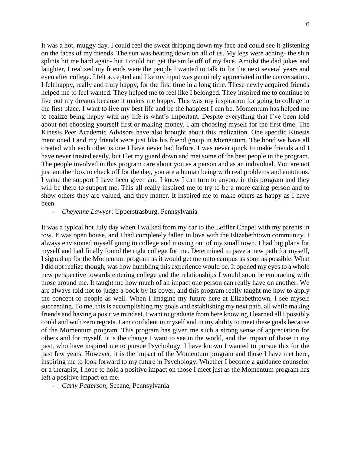It was a hot, muggy day. I could feel the sweat dripping down my face and could see it glistening on the faces of my friends. The sun was beating down on all of us. My legs were aching- the shin splints hit me hard again- but I could not get the smile off of my face. Amidst the dad jokes and laughter, I realized my friends were the people I wanted to talk to for the next several years and even after college. I felt accepted and like my input was genuinely appreciated in the conversation. I felt happy, really and truly happy, for the first time in a long time. These newly acquired friends helped me to feel wanted. They helped me to feel like I belonged. They inspired me to continue to live out my dreams because it makes me happy. This was my inspiration for going to college in the first place. I want to live my best life and be the happiest I can be. Momentum has helped me to realize being happy with my life is what's important. Despite everything that I've been told about not choosing yourself first or making money, I am choosing myself for the first time. The Kinesis Peer Academic Advisors have also brought about this realization. One specific Kinesis mentioned I and my friends were just like his friend group in Momentum. The bond we have all created with each other is one I have never had before. I was never quick to make friends and I have never trusted easily, but I let my guard down and met some of the best people in the program. The people involved in this program care about you as a person and as an individual. You are not just another box to check off for the day, you are a human being with real problems and emotions. I value the support I have been given and I know I can turn to anyone in this program and they will be there to support me. This all really inspired me to try to be a more caring person and to show others they are valued, and they matter. It inspired me to make others as happy as I have been.

#### - *Cheyenne Lawyer*; Upperstrasburg, Pennsylvania

It was a typical hot July day when I walked from my car to the Leffler Chapel with my parents in tow. It was open house, and I had completely fallen in love with the Elizabethtown community. I always envisioned myself going to college and moving out of my small town. I had big plans for myself and had finally found the right college for me. Determined to pave a new path for myself, I signed up for the Momentum program as it would get me onto campus as soon as possible. What I did not realize though, was how humbling this experience would be. It opened my eyes to a whole new perspective towards entering college and the relationships I would soon be embracing with those around me. It taught me how much of an impact one person can really have on another. We are always told not to judge a book by its cover, and this program really taught me how to apply the concept to people as well. When I imagine my future here at Elizabethtown, I see myself succeeding. To me, this is accomplishing my goals and establishing my next path, all while making friends and having a positive mindset. I want to graduate from here knowing I learned all I possibly could and with zero regrets. I am confident in myself and in my ability to meet these goals because of the Momentum program. This program has given me such a strong sense of appreciation for others and for myself. It is the change I want to see in the world, and the impact of those in my past, who have inspired me to pursue Psychology. I have known I wanted to pursue this for the past few years. However, it is the impact of the Momentum program and those I have met here, inspiring me to look forward to my future in Psychology. Whether I become a guidance counselor or a therapist, I hope to hold a positive impact on those I meet just as the Momentum program has left a positive impact on me.

- *Carly Patterson*; Secane, Pennsylvania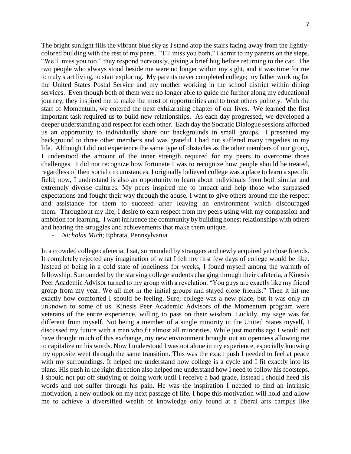The bright sunlight fills the vibrant blue sky as I stand atop the stairs facing away from the lightlycolored building with the rest of my peers. "I'll miss you both," I admit to my parents on the steps. "We'll miss you too," they respond nervously, giving a brief hug before returning to the car. The two people who always stood beside me were no longer within my sight, and it was time for me to truly start living, to start exploring. My parents never completed college; my father working for the United States Postal Service and my mother working in the school district within dining services. Even though both of them were no longer able to guide me further along my educational journey, they inspired me to make the most of opportunities and to treat others politely. With the start of Momentum, we entered the next exhilarating chapter of our lives. We learned the first important task required us to build new relationships. As each day progressed, we developed a deeper understanding and respect for each other. Each day the Socratic Dialogue sessions afforded us an opportunity to individually share our backgrounds in small groups. I presented my background to three other members and was grateful I had not suffered many tragedies in my life. Although I did not experience the same type of obstacles as the other members of our group, I understood the amount of the inner strength required for my peers to overcome those challenges. I did not recognize how fortunate I was to recognize how people should be treated, regardless of their social circumstances. I originally believed college was a place to learn a specific field; now, I understand is also an opportunity to learn about individuals from both similar and extremely diverse cultures. My peers inspired me to impact and help those who surpassed expectations and fought their way through the abuse. I want to give others around me the respect and assistance for them to succeed after leaving an environment which discouraged them. Throughout my life, I desire to earn respect from my peers using with my compassion and ambition for learning. I want influence the community by building honest relationships with others and hearing the struggles and achievements that make them unique.

- *Nicholas Mich*; Ephrata, Pennsylvania

In a crowded college cafeteria, I sat, surrounded by strangers and newly acquired yet close friends. It completely rejected any imagination of what I felt my first few days of college would be like. Instead of being in a cold state of loneliness for weeks, I found myself among the warmth of fellowship. Surrounded by the starving college students charging through their cafeteria, a Kinesis Peer Academic Advisor turned to my group with a revelation. "You guys are exactly like my friend group from my year. We all met in the initial groups and stayed close friends." Then it hit me exactly how comforted I should be feeling. Sure, college was a new place, but it was only an unknown to some of us. Kinesis Peer Academic Advisors of the Momentum program were veterans of the entire experience, willing to pass on their wisdom. Luckily, my sage was far different from myself. Not being a member of a single minority in the United States myself, I discussed my future with a man who fit almost all minorities. While just months ago I would not have thought much of this exchange, my new environment brought out an openness allowing me to capitalize on his words. Now I understood I was not alone in my experience, especially knowing my opposite went through the same transition. This was the exact push I needed to feel at peace with my surroundings. It helped me understand how college is a cycle and I fit exactly into its plans. His push in the right direction also helped me understand how I need to follow his footsteps. I should not put off studying or doing work until I receive a bad grade, instead I should heed his words and not suffer through his pain. He was the inspiration I needed to find an intrinsic motivation, a new outlook on my next passage of life. I hope this motivation will hold and allow me to achieve a diversified wealth of knowledge only found at a liberal arts campus like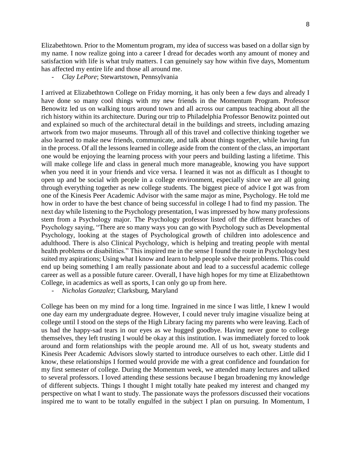Elizabethtown. Prior to the Momentum program, my idea of success was based on a dollar sign by my name. I now realize going into a career I dread for decades worth any amount of money and satisfaction with life is what truly matters. I can genuinely say how within five days, Momentum has affected my entire life and those all around me.

- *Clay LePore*; Stewartstown, Pennsylvania

I arrived at Elizabethtown College on Friday morning, it has only been a few days and already I have done so many cool things with my new friends in the Momentum Program. Professor Benowitz led us on walking tours around town and all across our campus teaching about all the rich history within its architecture. During our trip to Philadelphia Professor Benowitz pointed out and explained so much of the architectural detail in the buildings and streets, including amazing artwork from two major museums. Through all of this travel and collective thinking together we also learned to make new friends, communicate, and talk about things together, while having fun in the process. Of all the lessons learned in college aside from the content of the class, an important one would be enjoying the learning process with your peers and building lasting a lifetime. This will make college life and class in general much more manageable, knowing you have support when you need it in your friends and vice versa. I learned it was not as difficult as I thought to open up and be social with people in a college environment, especially since we are all going through everything together as new college students. The biggest piece of advice I got was from one of the Kinesis Peer Academic Advisor with the same major as mine, Psychology. He told me how in order to have the best chance of being successful in college I had to find my passion. The next day while listening to the Psychology presentation, I was impressed by how many professions stem from a Psychology major. The Psychology professor listed off the different branches of Psychology saying, "There are so many ways you can go with Psychology such as Developmental Psychology, looking at the stages of Psychological growth of children into adolescence and adulthood. There is also Clinical Psychology, which is helping and treating people with mental health problems or disabilities." This inspired me in the sense I found the route in Psychology best suited my aspirations; Using what I know and learn to help people solve their problems. This could end up being something I am really passionate about and lead to a successful academic college career as well as a possible future career. Overall, I have high hopes for my time at Elizabethtown College, in academics as well as sports, I can only go up from here.

- *Nicholas Gonzalez*; Clarksburg, Maryland

College has been on my mind for a long time. Ingrained in me since I was little, I knew I would one day earn my undergraduate degree. However, I could never truly imagine visualize being at college until I stood on the steps of the High Library facing my parents who were leaving. Each of us had the happy-sad tears in our eyes as we hugged goodbye. Having never gone to college themselves, they left trusting I would be okay at this institution. I was immediately forced to look around and form relationships with the people around me. All of us hot, sweaty students and Kinesis Peer Academic Advisors slowly started to introduce ourselves to each other. Little did I know, these relationships I formed would provide me with a great confidence and foundation for my first semester of college. During the Momentum week, we attended many lectures and talked to several professors. I loved attending these sessions because I began broadening my knowledge of different subjects. Things I thought I might totally hate peaked my interest and changed my perspective on what I want to study. The passionate ways the professors discussed their vocations inspired me to want to be totally engulfed in the subject I plan on pursuing. In Momentum, I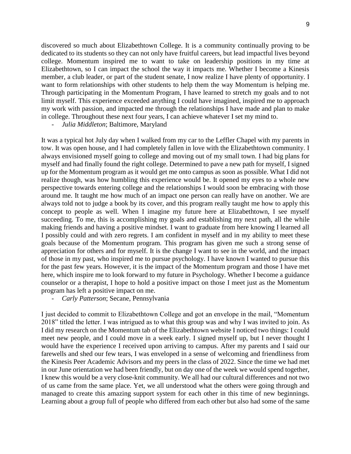discovered so much about Elizabethtown College. It is a community continually proving to be dedicated to its students so they can not only have fruitful careers, but lead impactful lives beyond college. Momentum inspired me to want to take on leadership positions in my time at Elizabethtown, so I can impact the school the way it impacts me. Whether I become a Kinesis member, a club leader, or part of the student senate, I now realize I have plenty of opportunity. I want to form relationships with other students to help them the way Momentum is helping me. Through participating in the Momentum Program, I have learned to stretch my goals and to not limit myself. This experience exceeded anything I could have imagined, inspired me to approach my work with passion, and impacted me through the relationships I have made and plan to make in college. Throughout these next four years, I can achieve whatever I set my mind to.

- *Julia Middleton*; Baltimore, Maryland

It was a typical hot July day when I walked from my car to the Leffler Chapel with my parents in tow. It was open house, and I had completely fallen in love with the Elizabethtown community. I always envisioned myself going to college and moving out of my small town. I had big plans for myself and had finally found the right college. Determined to pave a new path for myself, I signed up for the Momentum program as it would get me onto campus as soon as possible. What I did not realize though, was how humbling this experience would be. It opened my eyes to a whole new perspective towards entering college and the relationships I would soon be embracing with those around me. It taught me how much of an impact one person can really have on another. We are always told not to judge a book by its cover, and this program really taught me how to apply this concept to people as well. When I imagine my future here at Elizabethtown, I see myself succeeding. To me, this is accomplishing my goals and establishing my next path, all the while making friends and having a positive mindset. I want to graduate from here knowing I learned all I possibly could and with zero regrets. I am confident in myself and in my ability to meet these goals because of the Momentum program. This program has given me such a strong sense of appreciation for others and for myself. It is the change I want to see in the world, and the impact of those in my past, who inspired me to pursue psychology. I have known I wanted to pursue this for the past few years. However, it is the impact of the Momentum program and those I have met here, which inspire me to look forward to my future in Psychology. Whether I become a guidance counselor or a therapist, I hope to hold a positive impact on those I meet just as the Momentum program has left a positive impact on me.

- *Carly Patterson*; Secane, Pennsylvania

I just decided to commit to Elizabethtown College and got an envelope in the mail, "Momentum 2018" titled the letter. I was intrigued as to what this group was and why I was invited to join. As I did my research on the Momentum tab of the Elizabethtown website I noticed two things: I could meet new people, and I could move in a week early. I signed myself up, but I never thought I would have the experience I received upon arriving to campus. After my parents and I said our farewells and shed our few tears, I was enveloped in a sense of welcoming and friendliness from the Kinesis Peer Academic Advisors and my peers in the class of 2022. Since the time we had met in our June orientation we had been friendly, but on day one of the week we would spend together, I knew this would be a very close-knit community. We all had our cultural differences and not two of us came from the same place. Yet, we all understood what the others were going through and managed to create this amazing support system for each other in this time of new beginnings. Learning about a group full of people who differed from each other but also had some of the same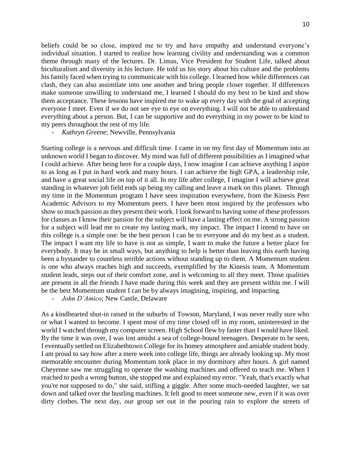beliefs could be so close, inspired me to try and have empathy and understand everyone's individual situation. I started to realize how learning civility and understanding was a common theme through many of the lectures. Dr. Limas, Vice President for Student Life, talked about biculturalism and diversity in his lecture. He told us his story about his culture and the problems his family faced when trying to communicate with his college. I learned how while differences can clash, they can also assimilate into one another and bring people closer together. If differences make someone unwilling to understand me, I learned I should do my best to be kind and show them acceptance. These lessons have inspired me to wake up every day with the goal of accepting everyone I meet. Even if we do not see eye to eye on everything. I will not be able to understand everything about a person. But, I can be supportive and do everything in my power to be kind to my peers throughout the rest of my life.

- *Kathryn Greene*; Newville, Pennsylvania

Starting college is a nervous and difficult time. I came in on my first day of Momentum into an unknown world I began to discover. My mind was full of different possibilities as I imagined what I could achieve. After being here for a couple days, I now imagine I can achieve anything I aspire to as long as I put in hard work and many hours. I can achieve the high GPA, a leadership role, and have a great social life on top of it all. In my life after college, I imagine I will achieve great standing in whatever job field ends up being my calling and leave a mark on this planet. Through my time in the Momentum program I have seen inspiration everywhere, from the Kinesis Peer Academic Advisors to my Momentum peers. I have been most inspired by the professors who show so much passion as they present their work. I look forward to having some of these professors for classes as I know their passion for the subject will have a lasting effect on me. A strong passion for a subject will lead me to create my lasting mark, my impact. The impact I intend to have on this college is a simple one: be the best person I can be to everyone and do my best as a student. The impact I want my life to have is not as simple, I want to make the future a better place for everybody. It may be in small ways, but anything to help is better than leaving this earth having been a bystander to countless terrible actions without standing up to them. A Momentum student is one who always reaches high and succeeds, exemplified by the Kinesis team. A Momentum student leads, steps out of their comfort zone, and is welcoming to all they meet. Those qualities are present in all the friends I have made during this week and they are present within me. I will be the best Momentum student I can be by always imagining, inspiring, and impacting.

- *John D'Amico*; New Castle, Delaware

As a kindhearted shut-in raised in the suburbs of Towson, Maryland, I was never really sure who or what I wanted to become. I spent most of my time closed off in my room, uninterested in the world I watched through my computer screen. High School flew by faster than I would have liked. By the time it was over, I was lost amidst a sea of college-bound teenagers. Desperate to be seen, I eventually settled on Elizabethtown College for its homey atmosphere and amiable student body. I am proud to say how after a mere week into college life, things are already looking up. My most memorable encounter during Momentum took place in my dormitory after hours. A girl named Cheyenne saw me struggling to operate the washing machines and offered to teach me. When I reached to push a wrong button, she stopped me and explained my error. "Yeah, that's exactly what you're *not* supposed to do," she said, stifling a giggle. After some much-needed laughter, we sat down and talked over the bustling machines. It felt good to meet someone new, even if it was over dirty clothes. The next day, our group set out in the pouring rain to explore the streets of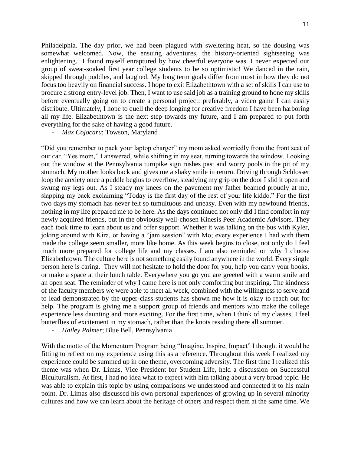Philadelphia. The day prior, we had been plagued with sweltering heat, so the dousing was somewhat welcomed. Now, the ensuing adventures, the history-oriented sightseeing was enlightening. I found myself enraptured by how cheerful everyone was. I never expected our group of sweat-soaked first year college students to be so optimistic! We danced in the rain, skipped through puddles, and laughed. My long term goals differ from most in how they do not focus too heavily on financial success. I hope to exit Elizabethtown with a set of skills I can use to procure a strong entry-level job. Then, I want to use said job as a training ground to hone my skills before eventually going on to create a personal project: preferably, a video game I can easily distribute. Ultimately, I hope to quell the deep longing for creative freedom I have been harboring all my life. Elizabethtown is the next step towards my future, and I am prepared to put forth everything for the sake of having a good future.

- *Max Cojocaru*; Towson, Maryland

"Did you remember to pack your laptop charger" my mom asked worriedly from the front seat of our car. "Yes mom," I answered, while shifting in my seat, turning towards the window. Looking out the window at the Pennsylvania turnpike sign rushes past and worry pools in the pit of my stomach. My mother looks back and gives me a shaky smile in return. Driving through Schlosser loop the anxiety once a puddle begins to overflow, steadying my grip on the door I slid it open and swung my legs out. As I steady my knees on the pavement my father beamed proudly at me, slapping my back exclaiming "Today is the first day of the rest of your life kiddo." For the first two days my stomach has never felt so tumultuous and uneasy. Even with my newfound friends, nothing in my life prepared me to be here. As the days continued not only did I find comfort in my newly acquired friends, but in the obviously well-chosen Kinesis Peer Academic Advisors. They each took time to learn about us and offer support. Whether it was talking on the bus with Kyler, joking around with Kira, or having a "jam session" with Mo; every experience I had with them made the college seem smaller, more like home. As this week begins to close, not only do I feel much more prepared for college life and my classes. I am also reminded on why I choose Elizabethtown. The culture here is not something easily found anywhere in the world. Every single person here is caring. They will not hesitate to hold the door for you, help you carry your books, or make a space at their lunch table. Everywhere you go you are greeted with a warm smile and an open seat. The reminder of why I came here is not only comforting but inspiring. The kindness of the faculty members we were able to meet all week, combined with the willingness to serve and to lead demonstrated by the upper-class students has shown me how it is okay to reach out for help. The program is giving me a support group of friends and mentors who make the college experience less daunting and more exciting. For the first time, when I think of my classes, I feel butterflies of excitement in my stomach, rather than the knots residing there all summer.

- *Hailey Palmer*; Blue Bell, Pennsylvania

With the motto of the Momentum Program being "Imagine, Inspire, Impact" I thought it would be fitting to reflect on my experience using this as a reference. Throughout this week I realized my experience could be summed up in one theme, overcoming adversity. The first time I realized this theme was when Dr. Limas, Vice President for Student Life, held a discussion on Successful Biculturalism. At first, I had no idea what to expect with him talking about a very broad topic. He was able to explain this topic by using comparisons we understood and connected it to his main point. Dr. Limas also discussed his own personal experiences of growing up in several minority cultures and how we can learn about the heritage of others and respect them at the same time. We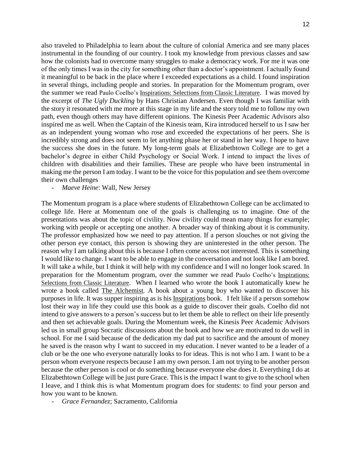also traveled to Philadelphia to learn about the culture of colonial America and see many places instrumental in the founding of our country. I took my knowledge from previous classes and saw how the colonists had to overcome many struggles to make a democracy work. For me it was one of the only times I was in the city for something other than a doctor's appointment. I actually found it meaningful to be back in the place where I exceeded expectations as a child. I found inspiration in several things, including people and stories. In preparation for the Momentum program, over the summer we read Paulo Coelho's Inspirations: Selections from Classic Literature. I was moved by the excerpt of *The Ugly Duckling* by Hans Christian Andersen. Even though I was familiar with the story it resonated with me more at this stage in my life and the story told me to follow my own path, even though others may have different opinions. The Kinesis Peer Academic Advisors also inspired me as well. When the Captain of the Kinesis team, Kira introduced herself to us I saw her as an independent young woman who rose and exceeded the expectations of her peers. She is incredibly strong and does not seem to let anything phase her or stand in her way. I hope to have the success she does in the future. My long-term goals at Elizabethtown College are to get a bachelor's degree in either Child Psychology or Social Work. I intend to impact the lives of children with disabilities and their families. These are people who have been instrumental in making me the person I am today. I want to be the voice for this population and see them overcome their own challenges

- *Maeve Heine*: Wall, New Jersey

The Momentum program is a place where students of Elizabethtown College can be acclimated to college life. Here at Momentum one of the goals is challenging us to imagine. One of the presentations was about the topic of civility. Now civility could mean many things for example; working with people or accepting one another. A broader way of thinking about it is community. The professor emphasized how we need to pay attention. If a person slouches or not giving the other person eye contact, this person is showing they are uninterested in the other person. The reason why I am talking about this is because I often come across not interested. This is something I would like to change. I want to be able to engage in the conversation and not look like I am bored. It will take a while, but I think it will help with my confidence and I will no longer look scared. In preparation for the Momentum program, over the summer we read Paulo Coelho's Inspirations: Selections from Classic Literature. When I learned who wrote the book I automatically knew he wrote a book called The Alchemist*.* A book about a young boy who wanted to discover his purposes in life. It was supper inspiring as is his Inspirations book. I felt like if a person somehow lost their way in life they could use this book as a guide to discover their goals. Coelho did not intend to give answers to a person's success but to let them be able to reflect on their life presently and then set achievable goals. During the Momentum week, the Kinesis Peer Academic Advisors led us in small group Socratic discussions about the book and how we are motivated to do well in school. For me I said because of the dedication my dad put to sacrifice and the amount of money he saved is the reason why I want to succeed in my education. I never wanted to be a leader of a club or be the one who everyone naturally looks to for ideas. This is not who I am. I want to be a person whom everyone respects because I am my own person. I am not trying to be another person because the other person is cool or do something because everyone else does it. Everything I do at Elizabethtown College will be just pure Grace. This is the impact I want to give to the school when I leave, and I think this is what Momentum program does for students: to find your person and how you want to be known.

- *Grace Fernandez*; Sacramento, California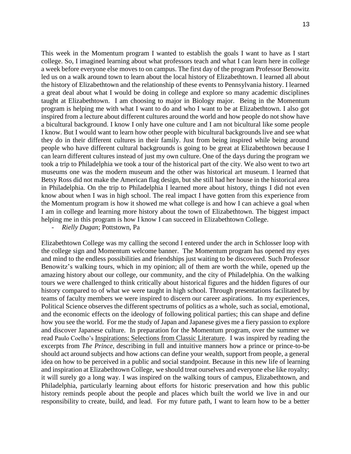This week in the Momentum program I wanted to establish the goals I want to have as I start college. So, I imagined learning about what professors teach and what I can learn here in college a week before everyone else moves to on campus. The first day of the program Professor Benowitz led us on a walk around town to learn about the local history of Elizabethtown. I learned all about the history of Elizabethtown and the relationship of these events to Pennsylvania history. I learned a great deal about what I would be doing in college and explore so many academic disciplines taught at Elizabethtown. I am choosing to major in Biology major. Being in the Momentum program is helping me with what I want to do and who I want to be at Elizabethtown. I also got inspired from a lecture about different cultures around the world and how people do not show have a bicultural background. I know I only have one culture and I am not bicultural like some people I know. But I would want to learn how other people with bicultural backgrounds live and see what they do in their different cultures in their family. Just from being inspired while being around people who have different cultural backgrounds is going to be great at Elizabethtown because I can learn different cultures instead of just my own culture. One of the days during the program we took a trip to Philadelphia we took a tour of the historical part of the city. We also went to two art museums one was the modern museum and the other was historical art museum. I learned that Betsy Ross did not make the American flag design, but she still had her house in the historical area in Philadelphia. On the trip to Philadelphia I learned more about history, things I did not even know about when I was in high school. The real impact I have gotten from this experience from the Momentum program is how it showed me what college is and how I can achieve a goal when I am in college and learning more history about the town of Elizabethtown. The biggest impact helping me in this program is how I know I can succeed in Elizabethtown College.

- *Rielly Dugan*; Pottstown, Pa

Elizabethtown College was my calling the second I entered under the arch in Schlosser loop with the college sign and Momentum welcome banner. The Momentum program has opened my eyes and mind to the endless possibilities and friendships just waiting to be discovered. Such Professor Benowitz's walking tours, which in my opinion; all of them are worth the while, opened up the amazing history about our college, our community, and the city of Philadelphia. On the walking tours we were challenged to think critically about historical figures and the hidden figures of our history compared to of what we were taught in high school. Through presentations facilitated by teams of faculty members we were inspired to discern our career aspirations. In my experiences, Political Science observes the different spectrums of politics as a whole, such as social, emotional, and the economic effects on the ideology of following political parties; this can shape and define how you see the world. For me the study of Japan and Japanese gives me a fiery passion to explore and discover Japanese culture. In preparation for the Momentum program, over the summer we read Paulo Coelho's Inspirations: Selections from Classic Literature. I was inspired by reading the excerpts from *The Prince*, describing in full and intuitive manners how a prince or prince-to-be should act around subjects and how actions can define your wealth, support from people, a general idea on how to be perceived in a public and social standpoint. Because in this new life of learning and inspiration at Elizabethtown College, we should treat ourselves and everyone else like royalty; it will surely go a long way. I was inspired on the walking tours of campus, Elizabethtown, and Philadelphia, particularly learning about efforts for historic preservation and how this public history reminds people about the people and places which built the world we live in and our responsibility to create, build, and lead. For my future path, I want to learn how to be a better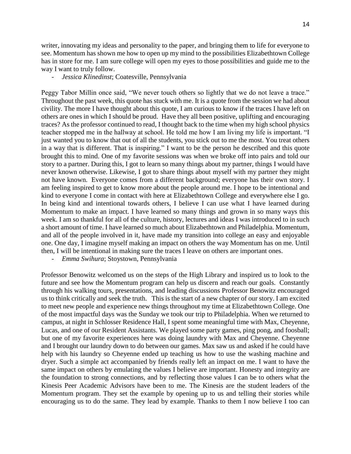writer, innovating my ideas and personality to the paper, and bringing them to life for everyone to see. Momentum has shown me how to open up my mind to the possibilities Elizabethtown College has in store for me. I am sure college will open my eyes to those possibilities and guide me to the way I want to truly follow.

- *Jessica Klinedinst*; Coatesville, Pennsylvania

Peggy Tabor Millin once said, "We never touch others so lightly that we do not leave a trace." Throughout the past week, this quote has stuck with me. It is a quote from the session we had about civility. The more I have thought about this quote, I am curious to know if the traces I have left on others are ones in which I should be proud. Have they all been positive, uplifting and encouraging traces? As the professor continued to read, I thought back to the time when my high school physics teacher stopped me in the hallway at school. He told me how I am living my life is important. "I just wanted you to know that out of all the students, you stick out to me the most. You treat others in a way that is different. That is inspiring." I want to be the person he described and this quote brought this to mind. One of my favorite sessions was when we broke off into pairs and told our story to a partner. During this, I got to learn so many things about my partner, things I would have never known otherwise. Likewise, I got to share things about myself with my partner they might not have known. Everyone comes from a different background; everyone has their own story. I am feeling inspired to get to know more about the people around me. I hope to be intentional and kind to everyone I come in contact with here at Elizabethtown College and everywhere else I go. In being kind and intentional towards others, I believe I can use what I have learned during Momentum to make an impact. I have learned so many things and grown in so many ways this week. I am so thankful for all of the culture, history, lectures and ideas I was introduced to in such a short amount of time. I have learned so much about Elizabethtown and Philadelphia. Momentum, and all of the people involved in it, have made my transition into college an easy and enjoyable one. One day, I imagine myself making an impact on others the way Momentum has on me. Until then, I will be intentional in making sure the traces I leave on others are important ones.

- *Emma Swihura*; Stoystown, Pennsylvania

Professor Benowitz welcomed us on the steps of the High Library and inspired us to look to the future and see how the Momentum program can help us discern and reach our goals. Constantly through his walking tours, presentations, and leading discussions Professor Benowitz encouraged us to think critically and seek the truth. This is the start of a new chapter of our story. I am excited to meet new people and experience new things throughout my time at Elizabethtown College. One of the most impactful days was the Sunday we took our trip to Philadelphia. When we returned to campus, at night in Schlosser Residence Hall, I spent some meaningful time with Max, Cheyenne, Lucas, and one of our Resident Assistants. We played some party games, ping pong, and foosball; but one of my favorite experiences here was doing laundry with Max and Cheyenne. Cheyenne and I brought our laundry down to do between our games. Max saw us and asked if he could have help with his laundry so Cheyenne ended up teaching us how to use the washing machine and dryer. Such a simple act accompanied by friends really left an impact on me. I want to have the same impact on others by emulating the values I believe are important. Honesty and integrity are the foundation to strong connections, and by reflecting those values I can be to others what the Kinesis Peer Academic Advisors have been to me. The Kinesis are the student leaders of the Momentum program. They set the example by opening up to us and telling their stories while encouraging us to do the same. They lead by example. Thanks to them I now believe I too can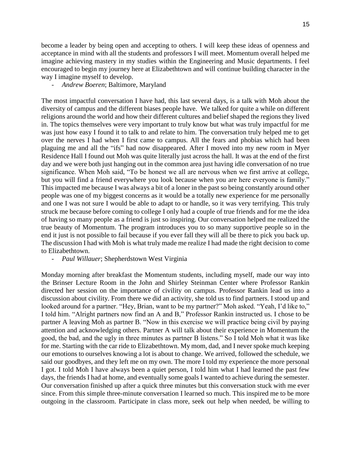become a leader by being open and accepting to others. I will keep these ideas of openness and acceptance in mind with all the students and professors I will meet. Momentum overall helped me imagine achieving mastery in my studies within the Engineering and Music departments. I feel encouraged to begin my journey here at Elizabethtown and will continue building character in the way I imagine myself to develop.

- *Andrew Boeren*; Baltimore, Maryland

The most impactful conversation I have had, this last several days, is a talk with Moh about the diversity of campus and the different biases people have. We talked for quite a while on different religions around the world and how their different cultures and belief shaped the regions they lived in. The topics themselves were very important to truly know but what was truly impactful for me was just how easy I found it to talk to and relate to him. The conversation truly helped me to get over the nerves I had when I first came to campus. All the fears and phobias which had been plaguing me and all the "ifs" had now disappeared. After I moved into my new room in Myer Residence Hall I found out Moh was quite literally just across the hall. It was at the end of the first day and we were both just hanging out in the common area just having idle conversation of no true significance. When Moh said, "To be honest we all are nervous when we first arrive at college, but you will find a friend everywhere you look because when you are here everyone is family." This impacted me because I was always a bit of a loner in the past so being constantly around other people was one of my biggest concerns as it would be a totally new experience for me personally and one I was not sure I would be able to adapt to or handle, so it was very terrifying. This truly struck me because before coming to college I only had a couple of true friends and for me the idea of having so many people as a friend is just so inspiring. Our conversation helped me realized the true beauty of Momentum. The program introduces you to so many supportive people so in the end it just is not possible to fail because if you ever fall they will all be there to pick you back up. The discussion I had with Moh is what truly made me realize I had made the right decision to come to Elizabethtown.

- *Paul Willauer*; Shepherdstown West Virginia

Monday morning after breakfast the Momentum students, including myself, made our way into the Brinser Lecture Room in the John and Shirley Steinman Center where Professor Rankin directed her session on the importance of civility on campus. Professor Rankin lead us into a discussion about civility. From there we did an activity, she told us to find partners. I stood up and looked around for a partner. "Hey, Brian, want to be my partner?" Moh asked. "Yeah, I'd like to," I told him. "Alright partners now find an A and B," Professor Rankin instructed us. I chose to be partner A leaving Moh as partner B. "Now in this exercise we will practice being civil by paying attention and acknowledging others. Partner A will talk about their experience in Momentum the good, the bad, and the ugly in three minutes as partner B listens." So I told Moh what it was like for me. Starting with the car ride to Elizabethtown. My mom, dad, and I never spoke much keeping our emotions to ourselves knowing a lot is about to change. We arrived, followed the schedule, we said our goodbyes, and they left me on my own. The more I told my experience the more personal I got. I told Moh I have always been a quiet person, I told him what I had learned the past few days, the friends I had at home, and eventually some goals I wanted to achieve during the semester. Our conversation finished up after a quick three minutes but this conversation stuck with me ever since. From this simple three-minute conversation I learned so much. This inspired me to be more outgoing in the classroom. Participate in class more, seek out help when needed, be willing to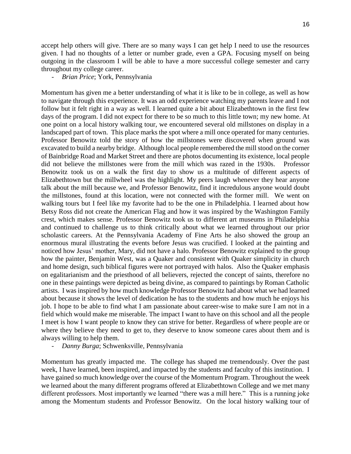16

accept help others will give. There are so many ways I can get help I need to use the resources given. I had no thoughts of a letter or number grade, even a GPA. Focusing myself on being outgoing in the classroom I will be able to have a more successful college semester and carry throughout my college career.

- *Brian Price*; York, Pennsylvania

Momentum has given me a better understanding of what it is like to be in college, as well as how to navigate through this experience. It was an odd experience watching my parents leave and I not follow but it felt right in a way as well. I learned quite a bit about Elizabethtown in the first few days of the program. I did not expect for there to be so much to this little town; my new home. At one point on a local history walking tour, we encountered several old millstones on display in a landscaped part of town. This place marks the spot where a mill once operated for many centuries. Professor Benowitz told the story of how the millstones were discovered when ground was excavated to build a nearby bridge. Although local people remembered the mill stood on the corner of Bainbridge Road and Market Street and there are photos documenting its existence, local people did not believe the millstones were from the mill which was razed in the 1930s. Professor Benowitz took us on a walk the first day to show us a multitude of different aspects of Elizabethtown but the millwheel was the highlight. My peers laugh whenever they hear anyone talk about the mill because we, and Professor Benowitz, find it incredulous anyone would doubt the millstones, found at this location, were not connected with the former mill. We went on walking tours but I feel like my favorite had to be the one in Philadelphia. I learned about how Betsy Ross did not create the American Flag and how it was inspired by the Washington Family crest, which makes sense. Professor Benowitz took us to different art museums in Philadelphia and continued to challenge us to think critically about what we learned throughout our prior scholastic careers. At the Pennsylvania Academy of Fine Arts he also showed the group an enormous mural illustrating the events before Jesus was crucified. I looked at the painting and noticed how Jesus' mother, Mary, did not have a halo. Professor Benowitz explained to the group how the painter, Benjamin West, was a Quaker and consistent with Quaker simplicity in church and home design, such biblical figures were not portrayed with halos. Also the Quaker emphasis on egalitarianism and the priesthood of all believers, rejected the concept of saints, therefore no one in these paintings were depicted as being divine, as compared to paintings by Roman Catholic artists. I was inspired by how much knowledge Professor Benowitz had about what we had learned about because it shows the level of dedication he has to the students and how much he enjoys his job. I hope to be able to find what I am passionate about career-wise to make sure I am not in a field which would make me miserable. The impact I want to have on this school and all the people I meet is how I want people to know they can strive for better. Regardless of where people are or where they believe they need to get to, they deserve to know someone cares about them and is always willing to help them.

- *Danny Burga*; Schwenksville, Pennsylvania

Momentum has greatly impacted me. The college has shaped me tremendously. Over the past week, I have learned, been inspired, and impacted by the students and faculty of this institution. I have gained so much knowledge over the course of the Momentum Program. Throughout the week we learned about the many different programs offered at Elizabethtown College and we met many different professors. Most importantly we learned "there was a mill here." This is a running joke among the Momentum students and Professor Benowitz. On the local history walking tour of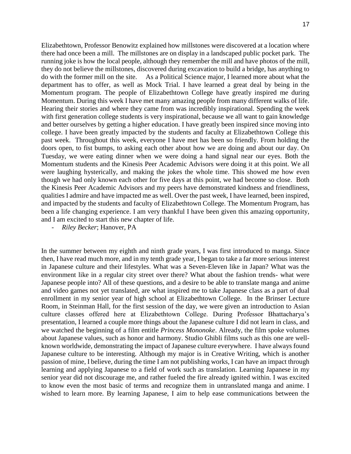17

Elizabethtown, Professor Benowitz explained how millstones were discovered at a location where there had once been a mill. The millstones are on display in a landscaped public pocket park. The running joke is how the local people, although they remember the mill and have photos of the mill, they do not believe the millstones, discovered during excavation to build a bridge, has anything to do with the former mill on the site. As a Political Science major, I learned more about what the department has to offer, as well as Mock Trial. I have learned a great deal by being in the Momentum program. The people of Elizabethtown College have greatly inspired me during Momentum. During this week I have met many amazing people from many different walks of life. Hearing their stories and where they came from was incredibly inspirational. Spending the week with first generation college students is very inspirational, because we all want to gain knowledge and better ourselves by getting a higher education. I have greatly been inspired since moving into college. I have been greatly impacted by the students and faculty at Elizabethtown College this past week. Throughout this week, everyone I have met has been so friendly. From holding the doors open, to fist bumps, to asking each other about how we are doing and about our day. On Tuesday, we were eating dinner when we were doing a hand signal near our eyes. Both the Momentum students and the Kinesis Peer Academic Advisors were doing it at this point. We all were laughing hysterically, and making the jokes the whole time. This showed me how even though we had only known each other for five days at this point, we had become so close. Both the Kinesis Peer Academic Advisors and my peers have demonstrated kindness and friendliness, qualities I admire and have impacted me as well. Over the past week, I have learned, been inspired, and impacted by the students and faculty of Elizabethtown College. The Momentum Program, has been a life changing experience. I am very thankful I have been given this amazing opportunity, and I am excited to start this new chapter of life.

- *Riley Becker*; Hanover, PA

In the summer between my eighth and ninth grade years, I was first introduced to manga. Since then, I have read much more, and in my tenth grade year, I began to take a far more serious interest in Japanese culture and their lifestyles. What was a Seven-Eleven like in Japan? What was the environment like in a regular city street over there? What about the fashion trends- what were Japanese people into? All of these questions, and a desire to be able to translate manga and anime and video games not yet translated, are what inspired me to take Japanese class as a part of dual enrollment in my senior year of high school at Elizabethtown College. In the Brinser Lecture Room, in Steinman Hall, for the first session of the day, we were given an introduction to Asian culture classes offered here at Elizabethtown College. During Professor Bhattacharya's presentation, I learned a couple more things about the Japanese culture I did not learn in class, and we watched the beginning of a film entitle *Princess Mononoke*. Already, the film spoke volumes about Japanese values, such as honor and harmony. Studio Ghibli films such as this one are wellknown worldwide, demonstrating the impact of Japanese culture everywhere. I have always found Japanese culture to be interesting. Although my major is in Creative Writing, which is another passion of mine, I believe, during the time I am not publishing works, I can have an impact through learning and applying Japanese to a field of work such as translation. Learning Japanese in my senior year did not discourage me, and rather fueled the fire already ignited within. I was excited to know even the most basic of terms and recognize them in untranslated manga and anime. I wished to learn more. By learning Japanese, I aim to help ease communications between the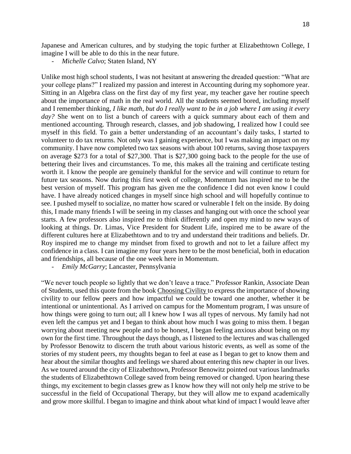Japanese and American cultures, and by studying the topic further at Elizabethtown College, I imagine I will be able to do this in the near future.

- *Michelle Calvo*; Staten Island, NY

Unlike most high school students, I was not hesitant at answering the dreaded question: "What are your college plans?" I realized my passion and interest in Accounting during my sophomore year. Sitting in an Algebra class on the first day of my first year, my teacher gave her routine speech about the importance of math in the real world. All the students seemed bored, including myself and I remember thinking, *I like math, but do I really want to be in a job where I am using it every*  day? She went on to list a bunch of careers with a quick summary about each of them and mentioned accounting. Through research, classes, and job shadowing, I realized how I could see myself in this field. To gain a better understanding of an accountant's daily tasks, I started to volunteer to do tax returns. Not only was I gaining experience, but I was making an impact on my community. I have now completed two tax seasons with about 100 returns, saving those taxpayers on average \$273 for a total of \$27,300. That is \$27,300 going back to the people for the use of bettering their lives and circumstances. To me, this makes all the training and certificate testing worth it. I know the people are genuinely thankful for the service and will continue to return for future tax seasons. Now during this first week of college, Momentum has inspired me to be the best version of myself. This program has given me the confidence I did not even know I could have. I have already noticed changes in myself since high school and will hopefully continue to see. I pushed myself to socialize, no matter how scared or vulnerable I felt on the inside. By doing this, I made many friends I will be seeing in my classes and hanging out with once the school year starts. A few professors also inspired me to think differently and open my mind to new ways of looking at things. Dr. Limas, Vice President for Student Life, inspired me to be aware of the different cultures here at Elizabethtown and to try and understand their traditions and beliefs. Dr. Roy inspired me to change my mindset from fixed to growth and not to let a failure affect my confidence in a class. I can imagine my four years here to be the most beneficial, both in education and friendships, all because of the one week here in Momentum.

- *Emily McGarry*; Lancaster, Pennsylvania

"We never touch people so lightly that we don't leave a trace." Professor Rankin, Associate Dean of Students, used this quote from the book Choosing Civility to express the importance of showing civility to our fellow peers and how impactful we could be toward one another, whether it be intentional or unintentional. As I arrived on campus for the Momentum program, I was unsure of how things were going to turn out; all I knew how I was all types of nervous. My family had not even left the campus yet and I began to think about how much I was going to miss them. I began worrying about meeting new people and to be honest, I began feeling anxious about being on my own for the first time. Throughout the days though, as I listened to the lectures and was challenged by Professor Benowitz to discern the truth about various historic events, as well as some of the stories of my student peers, my thoughts began to feel at ease as I began to get to know them and hear about the similar thoughts and feelings we shared about entering this new chapter in our lives. As we toured around the city of Elizabethtown, Professor Benowitz pointed out various landmarks the students of Elizabethtown College saved from being removed or changed. Upon hearing these things, my excitement to begin classes grew as I know how they will not only help me strive to be successful in the field of Occupational Therapy, but they will allow me to expand academically and grow more skillful. I began to imagine and think about what kind of impact I would leave after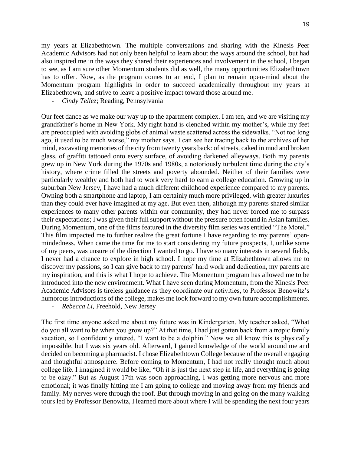my years at Elizabethtown. The multiple conversations and sharing with the Kinesis Peer Academic Advisors had not only been helpful to learn about the ways around the school, but had also inspired me in the ways they shared their experiences and involvement in the school, I began to see, as I am sure other Momentum students did as well, the many opportunities Elizabethtown has to offer. Now, as the program comes to an end, I plan to remain open-mind about the Momentum program highlights in order to succeed academically throughout my years at Elizabethtown, and strive to leave a positive impact toward those around me.

- *Cindy Tellez*; Reading, Pennsylvania

Our feet dance as we make our way up to the apartment complex. I am ten, and we are visiting my grandfather's home in New York. My right hand is clenched within my mother's, while my feet are preoccupied with avoiding globs of animal waste scattered across the sidewalks. "Not too long ago, it used to be much worse," my mother says. I can see her tracing back to the archives of her mind, excavating memories of the city from twenty years back: of streets, caked in mud and broken glass, of graffiti tattooed onto every surface, of avoiding darkened alleyways. Both my parents grew up in New York during the 1970s and 1980s, a notoriously turbulent time during the city's history, where crime filled the streets and poverty abounded. Neither of their families were particularly wealthy and both had to work very hard to earn a college education. Growing up in suburban New Jersey, I have had a much different childhood experience compared to my parents. Owning both a smartphone and laptop, I am certainly much more privileged, with greater luxuries than they could ever have imagined at my age. But even then, although my parents shared similar experiences to many other parents within our community, they had never forced me to surpass their expectations; I was given their full support without the pressure often found in Asian families. During Momentum, one of the films featured in the diversity film series was entitled "The Motel." This film impacted me to further realize the great fortune I have regarding to my parents' openmindedness. When came the time for me to start considering my future prospects, I, unlike some of my peers, was unsure of the direction I wanted to go. I have so many interests in several fields, I never had a chance to explore in high school. I hope my time at Elizabethtown allows me to discover my passions, so I can give back to my parents' hard work and dedication, my parents are my inspiration, and this is what I hope to achieve. The Momentum program has allowed me to be introduced into the new environment. What I have seen during Momentum, from the Kinesis Peer Academic Advisors is tireless guidance as they coordinate our activities, to Professor Benowitz's humorous introductions of the college, makes me look forward to my own future accomplishments.

- *Rebecca Li*, Freehold, New Jersey

The first time anyone asked me about my future was in Kindergarten. My teacher asked, "What do you all want to be when you grow up?" At that time, I had just gotten back from a tropic family vacation, so I confidently uttered, "I want to be a dolphin." Now we all know this is physically impossible, but I was six years old. Afterward, I gained knowledge of the world around me and decided on becoming a pharmacist. I chose Elizabethtown College because of the overall engaging and thoughtful atmosphere. Before coming to Momentum, I had not really thought much about college life. I imagined it would be like, "Oh it is just the next step in life, and everything is going to be okay." But as August 17th was soon approaching, I was getting more nervous and more emotional; it was finally hitting me I am going to college and moving away from my friends and family. My nerves were through the roof. But through moving in and going on the many walking tours led by Professor Benowitz, I learned more about where I will be spending the next four years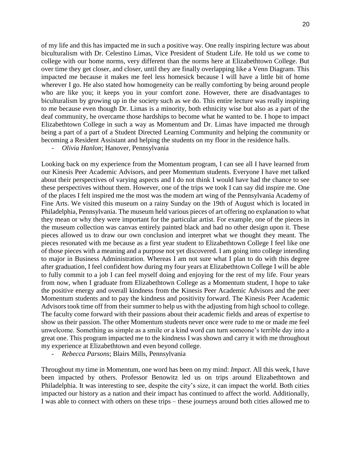of my life and this has impacted me in such a positive way. One really inspiring lecture was about biculturalism with Dr. Celestino Limas, Vice President of Student Life. He told us we come to college with our home norms, very different than the norms here at Elizabethtown College. But over time they get closer, and closer, until they are finally overlapping like a Venn Diagram. This impacted me because it makes me feel less homesick because I will have a little bit of home wherever I go. He also stated how homogeneity can be really comforting by being around people who are like you; it keeps you in your comfort zone. However, there are disadvantages to biculturalism by growing up in the society such as we do. This entire lecture was really inspiring to me because even though Dr. Limas is a minority, both ethnicity wise but also as a part of the deaf community, he overcame those hardships to become what he wanted to be. I hope to impact Elizabethtown College in such a way as Momentum and Dr. Limas have impacted me through being a part of a part of a Student Directed Learning Community and helping the community or becoming a Resident Assistant and helping the students on my floor in the residence halls.

- *Olivia Hanlon*; Hanover, Pennsylvania

Looking back on my experience from the Momentum program, I can see all I have learned from our Kinesis Peer Academic Advisors, and peer Momentum students. Everyone I have met talked about their perspectives of varying aspects and I do not think I would have had the chance to see these perspectives without them. However, one of the trips we took I can say did inspire me. One of the places I felt inspired me the most was the modern art wing of the Pennsylvania Academy of Fine Arts. We visited this museum on a rainy Sunday on the 19th of August which is located in Philadelphia, Pennsylvania. The museum held various pieces of art offering no explanation to what they mean or why they were important for the particular artist. For example, one of the pieces in the museum collection was canvas entirely painted black and had no other design upon it. These pieces allowed us to draw our own conclusion and interpret what we thought they meant. The pieces resonated with me because as a first year student to Elizabethtown College I feel like one of those pieces with a meaning and a purpose not yet discovered. I am going into college intending to major in Business Administration. Whereas I am not sure what I plan to do with this degree after graduation, I feel confident how during my four years at Elizabethtown College I will be able to fully commit to a job I can feel myself doing and enjoying for the rest of my life. Four years from now, when I graduate from Elizabethtown College as a Momentum student, I hope to take the positive energy and overall kindness from the Kinesis Peer Academic Advisors and the peer Momentum students and to pay the kindness and positivity forward. The Kinesis Peer Academic Advisors took time off from their summer to help us with the adjusting from high school to college. The faculty come forward with their passions about their academic fields and areas of expertise to show us their passion. The other Momentum students never once were rude to me or made me feel unwelcome. Something as simple as a smile or a kind word can turn someone's terrible day into a great one. This program impacted me to the kindness I was shown and carry it with me throughout my experience at Elizabethtown and even beyond college.

- *Rebecca Parsons*; Blairs Mills, Pennsylvania

Throughout my time in Momentum, one word has been on my mind: *Impact*. All this week, I have been impacted by others. Professor Benowitz led us on trips around Elizabethtown and Philadelphia. It was interesting to see, despite the city's size, it can impact the world. Both cities impacted our history as a nation and their impact has continued to affect the world. Additionally, I was able to connect with others on these trips – these journeys around both cities allowed me to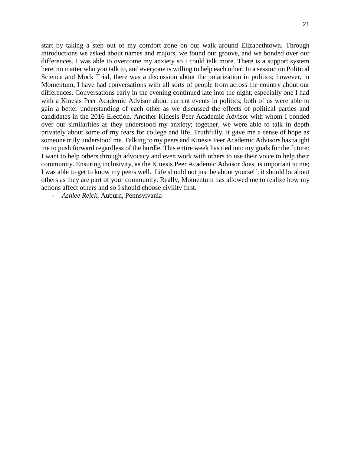start by taking a step out of my comfort zone on our walk around Elizabethtown. Through introductions we asked about names and majors, we found our groove, and we bonded over our differences. I was able to overcome my anxiety so I could talk more. There is a support system here, no matter who you talk to, and everyone is willing to help each other. In a session on Political Science and Mock Trial, there was a discussion about the polarization in politics; however, in Momentum, I have had conversations with all sorts of people from across the country about our differences. Conversations early in the evening continued late into the night, especially one I had with a Kinesis Peer Academic Advisor about current events in politics; both of us were able to gain a better understanding of each other as we discussed the effects of political parties and candidates in the 2016 Election. Another Kinesis Peer Academic Advisor with whom I bonded over our similarities as they understood my anxiety; together, we were able to talk in depth privately about some of my fears for college and life. Truthfully, it gave me a sense of hope as someone truly understood me. Talking to my peers and Kinesis Peer Academic Advisors has taught me to push forward regardless of the hurdle. This entire week has tied into my goals for the future: I want to help others through advocacy and even work with others to use their voice to help their community. Ensuring inclusivity, as the Kinesis Peer Academic Advisor does, is important to me; I was able to get to know my peers well. Life should not just be about yourself; it should be about others as they are part of your community. Really, Momentum has allowed me to realize how my actions affect others and so I should choose civility first.

- *Ashlee Reick*; Auburn, Pennsylvania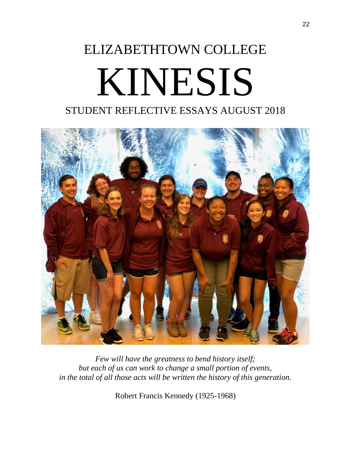# ELIZABETHTOWN COLLEGE KINESIS STUDENT REFLECTIVE ESSAYS AUGUST 2018



*Few will have the greatness to bend history itself; but each of us can work to change a small portion of events, in the total of all those acts will be written the history of this generation.*

Robert Francis Kennedy (1925-1968)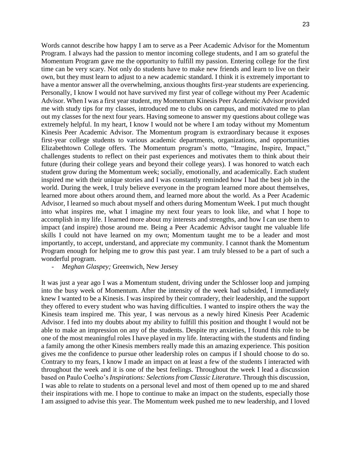23

Words cannot describe how happy I am to serve as a Peer Academic Advisor for the Momentum Program. I always had the passion to mentor incoming college students, and I am so grateful the Momentum Program gave me the opportunity to fulfill my passion. Entering college for the first time can be very scary. Not only do students have to make new friends and learn to live on their own, but they must learn to adjust to a new academic standard. I think it is extremely important to have a mentor answer all the overwhelming, anxious thoughts first-year students are experiencing. Personally, I know I would not have survived my first year of college without my Peer Academic Advisor. When I was a first year student, my Momentum Kinesis Peer Academic Advisor provided me with study tips for my classes, introduced me to clubs on campus, and motivated me to plan out my classes for the next four years. Having someone to answer my questions about college was extremely helpful. In my heart, I know I would not be where I am today without my Momentum Kinesis Peer Academic Advisor. The Momentum program is extraordinary because it exposes first-year college students to various academic departments, organizations, and opportunities Elizabethtown College offers. The Momentum program's motto, "Imagine, Inspire, Impact," challenges students to reflect on their past experiences and motivates them to think about their future (during their college years and beyond their college years). I was honored to watch each student grow during the Momentum week; socially, emotionally, and academically. Each student inspired me with their unique stories and I was constantly reminded how I had the best job in the world. During the week, I truly believe everyone in the program learned more about themselves, learned more about others around them, and learned more about the world. As a Peer Academic Advisor, I learned so much about myself and others during Momentum Week. I put much thought into what inspires me, what I imagine my next four years to look like, and what I hope to accomplish in my life. I learned more about my interests and strengths, and how I can use them to impact (and inspire) those around me. Being a Peer Academic Advisor taught me valuable life skills I could not have learned on my own; Momentum taught me to be a leader and most importantly, to accept, understand, and appreciate my community. I cannot thank the Momentum Program enough for helping me to grow this past year. I am truly blessed to be a part of such a wonderful program.

- *Meghan Glaspey;* Greenwich, New Jersey

It was just a year ago I was a Momentum student, driving under the Schlosser loop and jumping into the busy week of Momentum. After the intensity of the week had subsided, I immediately knew I wanted to be a Kinesis. I was inspired by their comradery, their leadership, and the support they offered to every student who was having difficulties. I wanted to inspire others the way the Kinesis team inspired me. This year, I was nervous as a newly hired Kinesis Peer Academic Advisor. I fed into my doubts about my ability to fulfill this position and thought I would not be able to make an impression on any of the students. Despite my anxieties, I found this role to be one of the most meaningful roles I have played in my life. Interacting with the students and finding a family among the other Kinesis members really made this an amazing experience. This position gives me the confidence to pursue other leadership roles on campus if I should choose to do so. Contrary to my fears, I know I made an impact on at least a few of the students I interacted with throughout the week and it is one of the best feelings. Throughout the week I lead a discussion based on Paulo Coelho's *Inspirations: Selections from Classic Literature*. Through this discussion, I was able to relate to students on a personal level and most of them opened up to me and shared their inspirations with me. I hope to continue to make an impact on the students, especially those I am assigned to advise this year. The Momentum week pushed me to new leadership, and I loved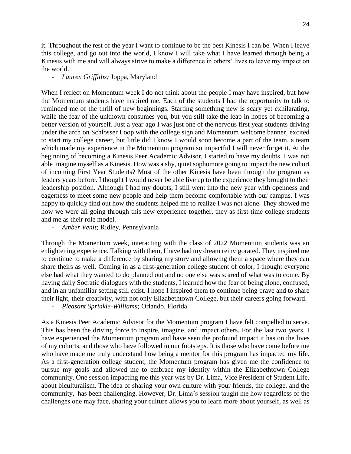it. Throughout the rest of the year I want to continue to be the best Kinesis I can be. When I leave this college, and go out into the world, I know I will take what I have learned through being a Kinesis with me and will always strive to make a difference in others' lives to leave my impact on the world.

#### - *Lauren Griffiths;* Joppa, Maryland

When I reflect on Momentum week I do not think about the people I may have inspired, but how the Momentum students have inspired me. Each of the students I had the opportunity to talk to reminded me of the thrill of new beginnings. Starting something new is scary yet exhilarating, while the fear of the unknown consumes you, but you still take the leap in hopes of becoming a better version of yourself. Just a year ago I was just one of the nervous first year students driving under the arch on Schlosser Loop with the college sign and Momentum welcome banner, excited to start my college career, but little did I know I would soon become a part of the team, a team which made my experience in the Momentum program so impactful I will never forget it. At the beginning of becoming a Kinesis Peer Academic Advisor, I started to have my doubts. I was not able imagine myself as a Kinesis. How was a shy, quiet sophomore going to impact the new cohort of incoming First Year Students? Most of the other Kinesis have been through the program as leaders years before. I thought I would never be able live up to the experience they brought to their leadership position. Although I had my doubts, I still went into the new year with openness and eagerness to meet some new people and help them become comfortable with our campus. I was happy to quickly find out how the students helped me to realize I was not alone. They showed me how we were all going through this new experience together, they as first-time college students and me as their role model.

- *Amber Venit;* Ridley, Pennsylvania

Through the Momentum week, interacting with the class of 2022 Momentum students was an enlightening experience. Talking with them, I have had my dream reinvigorated. They inspired me to continue to make a difference by sharing my story and allowing them a space where they can share theirs as well. Coming in as a first-generation college student of color, I thought everyone else had what they wanted to do planned out and no one else was scared of what was to come. By having daily Socratic dialogues with the students, I learned how the fear of being alone, confused, and in an unfamiliar setting still exist. I hope I inspired them to continue being brave and to share their light, their creativity, with not only Elizabethtown College, but their careers going forward.

- *Pleasant Sprinkle-Williams;* Orlando, Florida

As a Kinesis Peer Academic Advisor for the Momentum program I have felt compelled to serve. This has been the driving force to inspire, imagine, and impact others. For the last two years, I have experienced the Momentum program and have seen the profound impact it has on the lives of my cohorts, and those who have followed in our footsteps. It is those who have come before me who have made me truly understand how being a mentor for this program has impacted my life. As a first-generation college student, the Momentum program has given me the confidence to pursue my goals and allowed me to embrace my identity within the Elizabethtown College community. One session impacting me this year was by Dr. Lima, Vice President of Student Life, about biculturalism. The idea of sharing your own culture with your friends, the college, and the community, has been challenging. However, Dr. Lima's session taught me how regardless of the challenges one may face, sharing your culture allows you to learn more about yourself, as well as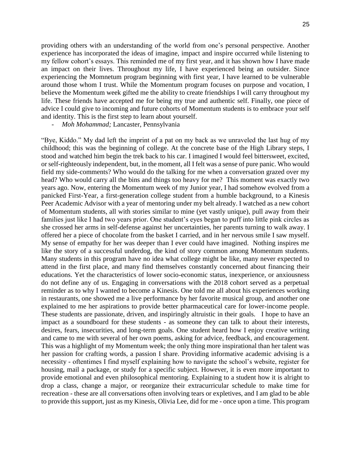providing others with an understanding of the world from one's personal perspective. Another experience has incorporated the ideas of imagine, impact and inspire occurred while listening to my fellow cohort's essays. This reminded me of my first year, and it has shown how I have made an impact on their lives. Throughout my life, I have experienced being an outsider. Since experiencing the Momnetum program beginning with first year, I have learned to be vulnerable around those whom I trust. While the Momentum program focuses on purpose and vocation, I believe the Momentum week gifted me the ability to create friendships I will carry throughout my life. These friends have accepted me for being my true and authentic self. Finally, one piece of advice I could give to incoming and future cohorts of Momentum students is to embrace your self and identity. This is the first step to learn about yourself.

- *Moh Mohammad;* Lancaster, Pennsylvania

"Bye, Kiddo." My dad left the imprint of a pat on my back as we unraveled the last hug of my childhood; this was the beginning of college. At the concrete base of the High Library steps, I stood and watched him begin the trek back to his car. I imagined I would feel bittersweet, excited, or self-righteously independent, but, in the moment, all I felt was a sense of pure panic. Who would field my side-comments? Who would do the talking for me when a conversation grazed over my head? Who would carry all the bins and things too heavy for me? This moment was exactly two years ago. Now, entering the Momentum week of my Junior year, I had somehow evolved from a panicked First-Year, a first-generation college student from a humble background, to a Kinesis Peer Academic Advisor with a year of mentoring under my belt already. I watched as a new cohort of Momentum students, all with stories similar to mine (yet vastly unique), pull away from their families just like I had two years prior. One student's eyes began to puff into little pink circles as she crossed her arms in self-defense against her uncertainties, her parents turning to walk away. I offered her a piece of chocolate from the basket I carried, and in her nervous smile I saw myself. My sense of empathy for her was deeper than I ever could have imagined. Nothing inspires me like the story of a successful underdog, the kind of story common among Momentum students. Many students in this program have no idea what college might be like, many never expected to attend in the first place, and many find themselves constantly concerned about financing their educations. Yet the characteristics of lower socio-economic status, inexperience, or anxiousness do not define any of us. Engaging in conversations with the 2018 cohort served as a perpetual reminder as to why I wanted to become a Kinesis. One told me all about his experiences working in restaurants, one showed me a live performance by her favorite musical group, and another one explained to me her aspirations to provide better pharmaceutical care for lower-income people. These students are passionate, driven, and inspiringly altruistic in their goals. I hope to have an impact as a soundboard for these students - as someone they can talk to about their interests, desires, fears, insecurities, and long-term goals. One student heard how I enjoy creative writing and came to me with several of her own poems, asking for advice, feedback, and encouragement. This was a highlight of my Momentum week; the only thing more inspirational than her talent was her passion for crafting words, a passion I share. Providing informative academic advising is a necessity - oftentimes I find myself explaining how to navigate the school's website, register for housing, mail a package, or study for a specific subject. However, it is even more important to provide emotional and even philosophical mentoring. Explaining to a student how it is alright to drop a class, change a major, or reorganize their extracurricular schedule to make time for recreation - these are all conversations often involving tears or expletives, and I am glad to be able to provide this support, just as my Kinesis, Olivia Lee, did for me - once upon a time. This program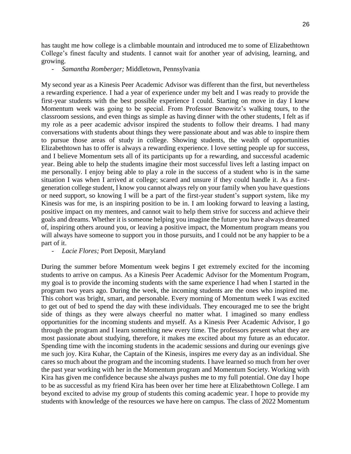has taught me how college is a climbable mountain and introduced me to some of Elizabethtown College's finest faculty and students. I cannot wait for another year of advising, learning, and growing.

- *Samantha Romberger;* Middletown, Pennsylvania

My second year as a Kinesis Peer Academic Advisor was different than the first, but nevertheless a rewarding experience. I had a year of experience under my belt and I was ready to provide the first-year students with the best possible experience I could. Starting on move in day I knew Momentum week was going to be special. From Professor Benowitz's walking tours, to the classroom sessions, and even things as simple as having dinner with the other students, I felt as if my role as a peer academic advisor inspired the students to follow their dreams. I had many conversations with students about things they were passionate about and was able to inspire them to pursue those areas of study in college. Showing students, the wealth of opportunities Elizabethtown has to offer is always a rewarding experience. I love setting people up for success, and I believe Momentum sets all of its participants up for a rewarding, and successful academic year. Being able to help the students imagine their most successful lives left a lasting impact on me personally. I enjoy being able to play a role in the success of a student who is in the same situation I was when I arrived at college; scared and unsure if they could handle it. As a firstgeneration college student, I know you cannot always rely on your family when you have questions or need support, so knowing I will be a part of the first-year student's support system, like my Kinesis was for me, is an inspiring position to be in. I am looking forward to leaving a lasting, positive impact on my mentees, and cannot wait to help them strive for success and achieve their goals and dreams. Whether it is someone helping you imagine the future you have always dreamed of, inspiring others around you, or leaving a positive impact, the Momentum program means you will always have someone to support you in those pursuits, and I could not be any happier to be a part of it.

- *Lacie Flores;* Port Deposit, Maryland

During the summer before Momentum week begins I get extremely excited for the incoming students to arrive on campus. As a Kinesis Peer Academic Advisor for the Momentum Program, my goal is to provide the incoming students with the same experience I had when I started in the program two years ago. During the week, the incoming students are the ones who inspired me. This cohort was bright, smart, and personable. Every morning of Momentum week I was excited to get out of bed to spend the day with these individuals. They encouraged me to see the bright side of things as they were always cheerful no matter what. I imagined so many endless opportunities for the incoming students and myself. As a Kinesis Peer Academic Advisor, I go through the program and I learn something new every time. The professors present what they are most passionate about studying, therefore, it makes me excited about my future as an educator. Spending time with the incoming students in the academic sessions and during our evenings give me such joy. Kira Kuhar, the Captain of the Kinesis, inspires me every day as an individual. She cares so much about the program and the incoming students. I have learned so much from her over the past year working with her in the Momentum program and Momentum Society. Working with Kira has given me confidence because she always pushes me to my full potential. One day I hope to be as successful as my friend Kira has been over her time here at Elizabethtown College. I am beyond excited to advise my group of students this coming academic year. I hope to provide my students with knowledge of the resources we have here on campus. The class of 2022 Momentum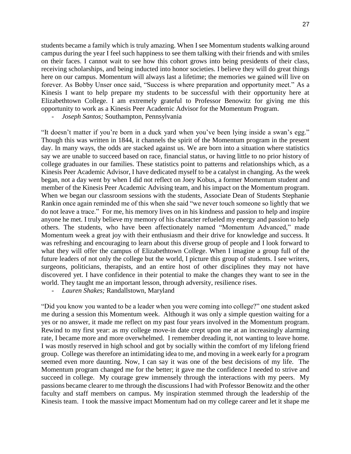students became a family which is truly amazing. When I see Momentum students walking around campus during the year I feel such happiness to see them talking with their friends and with smiles on their faces. I cannot wait to see how this cohort grows into being presidents of their class, receiving scholarships, and being inducted into honor societies. I believe they will do great things here on our campus. Momentum will always last a lifetime; the memories we gained will live on forever. As Bobby Unser once said, "Success is where preparation and opportunity meet." As a Kinesis I want to help prepare my students to be successful with their opportunity here at Elizabethtown College. I am extremely grateful to Professor Benowitz for giving me this opportunity to work as a Kinesis Peer Academic Advisor for the Momentum Program.

- *Joseph Santos;* Southampton, Pennsylvania

"It doesn't matter if you're born in a duck yard when you've been lying inside a swan's egg." Though this was written in 1844, it channels the spirit of the Momentum program in the present day. In many ways, the odds are stacked against us. We are born into a situation where statistics say we are unable to succeed based on race, financial status, or having little to no prior history of college graduates in our families. These statistics point to patterns and relationships which, as a Kinesis Peer Academic Advisor, I have dedicated myself to be a catalyst in changing. As the week began, not a day went by when I did not reflect on Joey Kobus, a former Momentum student and member of the Kinesis Peer Academic Advising team, and his impact on the Momentum program. When we began our classroom sessions with the students, Associate Dean of Students Stephanie Rankin once again reminded me of this when she said "we never touch someone so lightly that we do not leave a trace." For me, his memory lives on in his kindness and passion to help and inspire anyone he met. I truly believe my memory of his character refueled my energy and passion to help others. The students, who have been affectionately named "Momentum Advanced," made Momentum week a great joy with their enthusiasm and their drive for knowledge and success. It was refreshing and encouraging to learn about this diverse group of people and I look forward to what they will offer the campus of Elizabethtown College. When I imagine a group full of the future leaders of not only the college but the world, I picture this group of students. I see writers, surgeons, politicians, therapists, and an entire host of other disciplines they may not have discovered yet. I have confidence in their potential to make the changes they want to see in the world. They taught me an important lesson, through adversity, resilience rises.

- *Lauren Shakes;* Randallstown, Maryland

"Did you know you wanted to be a leader when you were coming into college?" one student asked me during a session this Momentum week. Although it was only a simple question waiting for a yes or no answer, it made me reflect on my past four years involved in the Momentum program. Rewind to my first year: as my college move-in date crept upon me at an increasingly alarming rate, I became more and more overwhelmed. I remember dreading it, not wanting to leave home. I was mostly reserved in high school and got by socially within the comfort of my lifelong friend group. College was therefore an intimidating idea to me, and moving in a week early for a program seemed even more daunting. Now, I can say it was one of the best decisions of my life. The Momentum program changed me for the better; it gave me the confidence I needed to strive and succeed in college. My courage grew immensely through the interactions with my peers. My passions became clearer to me through the discussions I had with Professor Benowitz and the other faculty and staff members on campus. My inspiration stemmed through the leadership of the Kinesis team. I took the massive impact Momentum had on my college career and let it shape me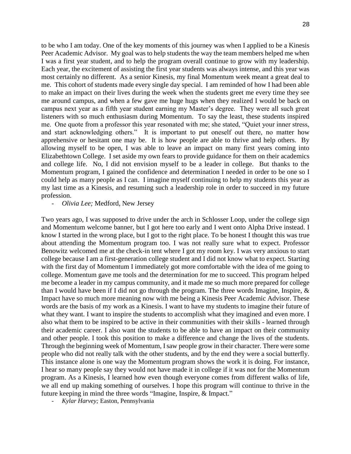to be who I am today. One of the key moments of this journey was when I applied to be a Kinesis Peer Academic Advisor. My goal was to help students the way the team members helped me when I was a first year student, and to help the program overall continue to grow with my leadership. Each year, the excitement of assisting the first year students was always intense, and this year was most certainly no different. As a senior Kinesis, my final Momentum week meant a great deal to me. This cohort of students made every single day special. I am reminded of how I had been able to make an impact on their lives during the week when the students greet me every time they see me around campus, and when a few gave me huge hugs when they realized I would be back on campus next year as a fifth year student earning my Master's degree. They were all such great listeners with so much enthusiasm during Momentum. To say the least, these students inspired me. One quote from a professor this year resonated with me; she stated, "Quiet your inner stress, and start acknowledging others." It is important to put oneself out there, no matter how apprehensive or hesitant one may be. It is how people are able to thrive and help others. By allowing myself to be open, I was able to leave an impact on many first years coming into Elizabethtown College. I set aside my own fears to provide guidance for them on their academics and college life. No, I did not envision myself to be a leader in college. But thanks to the Momentum program, I gained the confidence and determination I needed in order to be one so I could help as many people as I can. I imagine myself continuing to help my students this year as my last time as a Kinesis, and resuming such a leadership role in order to succeed in my future profession.

- *Olivia Lee;* Medford, New Jersey

Two years ago, I was supposed to drive under the arch in Schlosser Loop, under the college sign and Momentum welcome banner, but I got here too early and I went onto Alpha Drive instead. I know I started in the wrong place, but I got to the right place. To be honest I thought this was true about attending the Momentum program too. I was not really sure what to expect. Professor Benowitz welcomed me at the check-in tent where I got my room key. I was very anxious to start college because I am a first-generation college student and I did not know what to expect. Starting with the first day of Momentum I immediately got more comfortable with the idea of me going to college. Momentum gave me tools and the determination for me to succeed. This program helped me become a leader in my campus community, and it made me so much more prepared for college than I would have been if I did not go through the program. The three words Imagine, Inspire, & Impact have so much more meaning now with me being a Kinesis Peer Academic Advisor. These words are the basis of my work as a Kinesis. I want to have my students to imagine their future of what they want. I want to inspire the students to accomplish what they imagined and even more. I also what them to be inspired to be active in their communities with their skills - learned through their academic career. I also want the students to be able to have an impact on their community and other people. I took this position to make a difference and change the lives of the students. Through the beginning week of Momentum, I saw people grow in their character. There were some people who did not really talk with the other students, and by the end they were a social butterfly. This instance alone is one way the Momentum program shows the work it is doing. For instance, I hear so many people say they would not have made it in college if it was not for the Momentum program. As a Kinesis, I learned how even though everyone comes from different walks of life, we all end up making something of ourselves. I hope this program will continue to thrive in the future keeping in mind the three words "Imagine, Inspire, & Impact."

- *Kylar Harvey;* Easton, Pennsylvania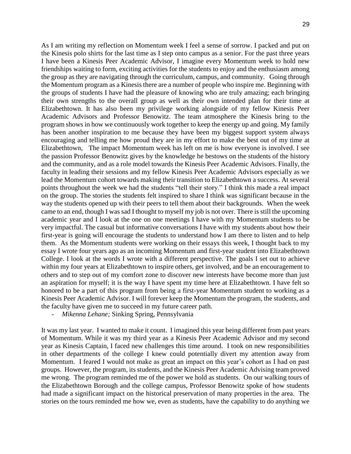As I am writing my reflection on Momentum week I feel a sense of sorrow. I packed and put on the Kinesis polo shirts for the last time as I step onto campus as a senior. For the past three years I have been a Kinesis Peer Academic Advisor, I imagine every Momentum week to hold new friendships waiting to form, exciting activities for the students to enjoy and the enthusiasm among the group as they are navigating through the curriculum, campus, and community. Going through the Momentum program as a Kinesis there are a number of people who inspire me. Beginning with the groups of students I have had the pleasure of knowing who are truly amazing; each bringing their own strengths to the overall group as well as their own intended plan for their time at Elizabethtown. It has also been my privilege working alongside of my fellow Kinesis Peer Academic Advisors and Professor Benowitz. The team atmosphere the Kinesis bring to the program shows in how we continuously work together to keep the energy up and going. My family has been another inspiration to me because they have been my biggest support system always encouraging and telling me how proud they are in my effort to make the best out of my time at Elizabethtown, The impact Momentum week has left on me is how everyone is involved. I see the passion Professor Benowitz gives by the knowledge he bestows on the students of the history and the community, and as a role model towards the Kinesis Peer Academic Advisors. Finally, the faculty in leading their sessions and my fellow Kinesis Peer Academic Advisors especially as we lead the Momentum cohort towards making their transition to Elizabethtown a success. At several points throughout the week we had the students "tell their story." I think this made a real impact on the group. The stories the students felt inspired to share I think was significant because in the way the students opened up with their peers to tell them about their backgrounds. When the week came to an end, though I was sad I thought to myself my job is not over. There is still the upcoming academic year and I look at the one on one meetings I have with my Momentum students to be very impactful. The casual but informative conversations I have with my students about how their first-year is going will encourage the students to understand how I am there to listen and to help them. As the Momentum students were working on their essays this week, I thought back to my essay I wrote four years ago as an incoming Momentum and first-year student into Elizabethtown College. I look at the words I wrote with a different perspective. The goals I set out to achieve within my four years at Elizabethtown to inspire others, get involved, and be an encouragement to others and to step out of my comfort zone to discover new interests have become more than just an aspiration for myself; it is the way I have spent my time here at Elizabethtown. I have felt so honored to be a part of this program from being a first-year Momentum student to working as a Kinesis Peer Academic Advisor. I will forever keep the Momentum the program, the students, and the faculty have given me to succeed in my future career path.

- *Mikenna Lehane;* Sinking Spring, Pennsylvania

It was my last year. I wanted to make it count. I imagined this year being different from past years of Momentum. While it was my third year as a Kinesis Peer Academic Advisor and my second year as Kinesis Captain, I faced new challenges this time around. I took on new responsibilities in other departments of the college I knew could potentially divert my attention away from Momentum. I feared I would not make as great an impact on this year's cohort as I had on past groups. However, the program, its students, and the Kinesis Peer Academic Advising team proved me wrong. The program reminded me of the power we hold as students. On our walking tours of the Elizabethtown Borough and the college campus, Professor Benowitz spoke of how students had made a significant impact on the historical preservation of many properties in the area. The stories on the tours reminded me how we, even as students, have the capability to do anything we